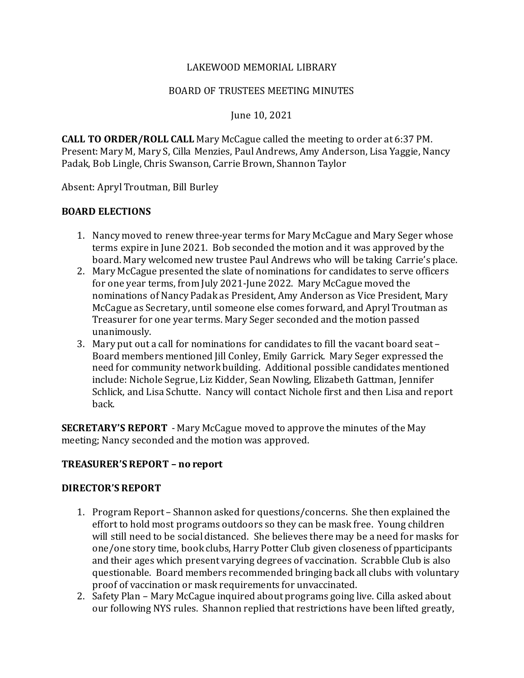## LAKEWOOD MEMORIAL LIBRARY

#### BOARD OF TRUSTEES MEETING MINUTES

June 10, 2021

**CALL TO ORDER/ROLL CALL** Mary McCague called the meeting to order at 6:37 PM. Present: Mary M, Mary S, Cilla Menzies, Paul Andrews, Amy Anderson, Lisa Yaggie, Nancy Padak, Bob Lingle, Chris Swanson, Carrie Brown, Shannon Taylor

Absent: Apryl Troutman, Bill Burley

## **BOARD ELECTIONS**

- 1. Nancy moved to renew three-year terms for Mary McCague and Mary Seger whose terms expire in June 2021. Bob seconded the motion and it was approved by the board. Mary welcomed new trustee Paul Andrews who will be taking Carrie's place.
- 2. Mary McCague presented the slate of nominations for candidates to serve officers for one year terms, from July 2021-June 2022. Mary McCague moved the nominations of Nancy Padak as President, Amy Anderson as Vice President, Mary McCague as Secretary, until someone else comes forward, and Apryl Troutman as Treasurer for one year terms. Mary Seger seconded and the motion passed unanimously.
- 3. Mary put out a call for nominations for candidates to fill the vacant board seat Board members mentioned Jill Conley, Emily Garrick. Mary Seger expressed the need for community network building. Additional possible candidates mentioned include: Nichole Segrue, Liz Kidder, Sean Nowling, Elizabeth Gattman, Jennifer Schlick, and Lisa Schutte. Nancy will contact Nichole first and then Lisa and report back.

**SECRETARY'S REPORT** - Mary McCague moved to approve the minutes of the May meeting; Nancy seconded and the motion was approved.

## **TREASURER'S REPORT – no report**

#### **DIRECTOR'S REPORT**

- 1. Program Report Shannon asked for questions/concerns. She then explained the effort to hold most programs outdoors so they can be mask free. Young children will still need to be social distanced. She believes there may be a need for masks for one/one story time, book clubs, Harry Potter Club given closeness of pparticipants and their ages which present varying degrees of vaccination. Scrabble Club is also questionable. Board members recommended bringing back all clubs with voluntary proof of vaccination or mask requirements for unvaccinated.
- 2. Safety Plan Mary McCague inquired about programs going live. Cilla asked about our following NYS rules. Shannon replied that restrictions have been lifted greatly,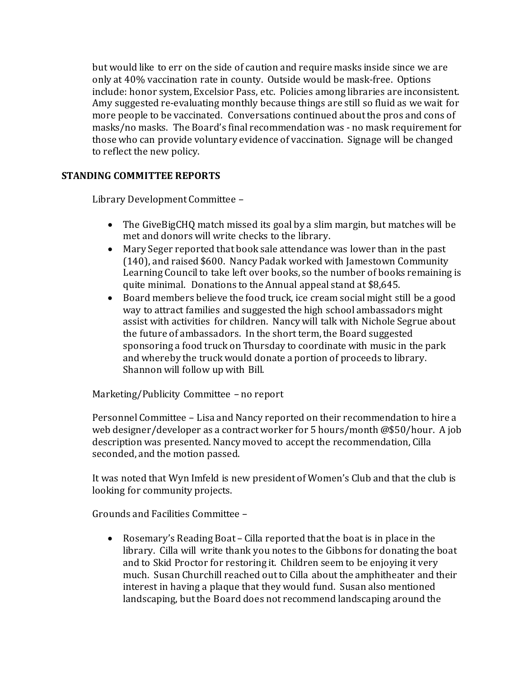but would like to err on the side of caution and require masks inside since we are only at 40% vaccination rate in county. Outside would be mask-free. Options include: honor system, Excelsior Pass, etc. Policies among libraries are inconsistent. Amy suggested re-evaluating monthly because things are still so fluid as we wait for more people to be vaccinated. Conversations continued about the pros and cons of masks/no masks. The Board's final recommendation was - no mask requirementfor those who can provide voluntary evidence of vaccination. Signage will be changed to reflect the new policy.

# **STANDING COMMITTEE REPORTS**

Library Development Committee –

- The GiveBigCHQ match missed its goal by a slim margin, but matches will be met and donors will write checks to the library.
- Mary Seger reported that book sale attendance was lower than in the past (140), and raised \$600. Nancy Padak worked with Jamestown Community Learning Council to take left over books, so the number of books remaining is quite minimal. Donations to the Annual appeal stand at \$8,645.
- Board members believe the food truck, ice cream social might still be a good way to attract families and suggested the high school ambassadors might assist with activities for children. Nancy will talk with Nichole Segrue about the future of ambassadors. In the short term, the Board suggested sponsoring a food truck on Thursday to coordinate with music in the park and whereby the truck would donate a portion of proceeds to library. Shannon will follow up with Bill.

Marketing/Publicity Committee – no report

Personnel Committee – Lisa and Nancy reported on their recommendation to hire a web designer/developer as a contract worker for 5 hours/month @\$50/hour. A job description was presented. Nancy moved to accept the recommendation, Cilla seconded, and the motion passed.

It was noted that Wyn Imfeld is new president of Women's Club and that the club is looking for community projects.

Grounds and Facilities Committee –

• Rosemary's Reading Boat – Cilla reported that the boat is in place in the library. Cilla will write thank you notes to the Gibbons for donating the boat and to Skid Proctor for restoring it. Children seem to be enjoying it very much. Susan Churchill reached out to Cilla about the amphitheater and their interest in having a plaque that they would fund. Susan also mentioned landscaping, but the Board does not recommend landscaping around the